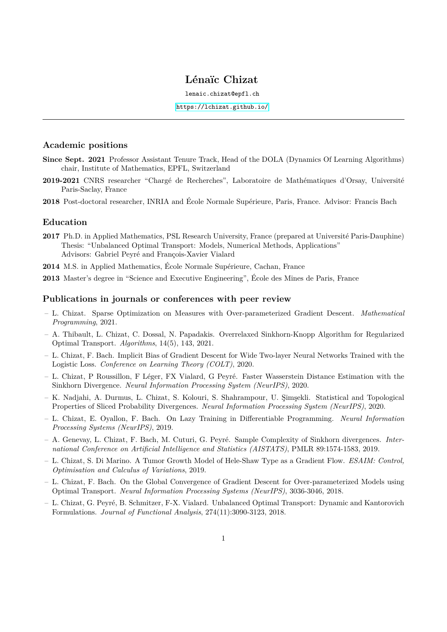# **Lénaïc Chizat**

lenaic.chizat@epfl.ch

<https://lchizat.github.io/>

## **Academic positions**

- **Since Sept. 2021** Professor Assistant Tenure Track, Head of the DOLA (Dynamics Of Learning Algorithms) chair, Institute of Mathematics, EPFL, Switzerland
- **2019-2021** CNRS researcher "Chargé de Recherches", Laboratoire de Mathématiques d'Orsay, Université Paris-Saclay, France
- **2018** Post-doctoral researcher, INRIA and École Normale Supérieure, Paris, France. Advisor: Francis Bach

### **Education**

- **2017** Ph.D. in Applied Mathematics, PSL Research University, France (prepared at Université Paris-Dauphine) Thesis: "Unbalanced Optimal Transport: Models, Numerical Methods, Applications" Advisors: Gabriel Peyré and François-Xavier Vialard
- **2014** M.S. in Applied Mathematics, École Normale Supérieure, Cachan, France

**2013** Master's degree in "Science and Executive Engineering", École des Mines de Paris, France

#### **Publications in journals or conferences with peer review**

- L. Chizat. Sparse Optimization on Measures with Over-parameterized Gradient Descent. *Mathematical Programming*, 2021.
- A. Thibault, L. Chizat, C. Dossal, N. Papadakis. Overrelaxed Sinkhorn-Knopp Algorithm for Regularized Optimal Transport. *Algorithms*, 14(5), 143, 2021.
- L. Chizat, F. Bach. Implicit Bias of Gradient Descent for Wide Two-layer Neural Networks Trained with the Logistic Loss. *Conference on Learning Theory (COLT)*, 2020.
- L. Chizat, P Roussillon, F Léger, FX Vialard, G Peyré. Faster Wasserstein Distance Estimation with the Sinkhorn Divergence. *Neural Information Processing System (NeurIPS)*, 2020.
- K. Nadjahi, A. Durmus, L. Chizat, S. Kolouri, S. Shahrampour, U. Şimşekli. Statistical and Topological Properties of Sliced Probability Divergences. *Neural Information Processing System (NeurIPS)*, 2020.
- L. Chizat, E. Oyallon, F. Bach. On Lazy Training in Differentiable Programming. *Neural Information Processing Systems (NeurIPS)*, 2019.
- A. Genevay, L. Chizat, F. Bach, M. Cuturi, G. Peyré. Sample Complexity of Sinkhorn divergences. *International Conference on Artificial Intelligence and Statistics (AISTATS)*, PMLR 89:1574-1583, 2019.
- L. Chizat, S. Di Marino. A Tumor Growth Model of Hele-Shaw Type as a Gradient Flow. *ESAIM: Control, Optimisation and Calculus of Variations*, 2019.
- L. Chizat, F. Bach. On the Global Convergence of Gradient Descent for Over-parameterized Models using Optimal Transport. *Neural Information Processing Systems (NeurIPS)*, 3036-3046, 2018.
- L. Chizat, G. Peyré, B. Schmitzer, F-X. Vialard. Unbalanced Optimal Transport: Dynamic and Kantorovich Formulations. *Journal of Functional Analysis*, 274(11):3090-3123, 2018.